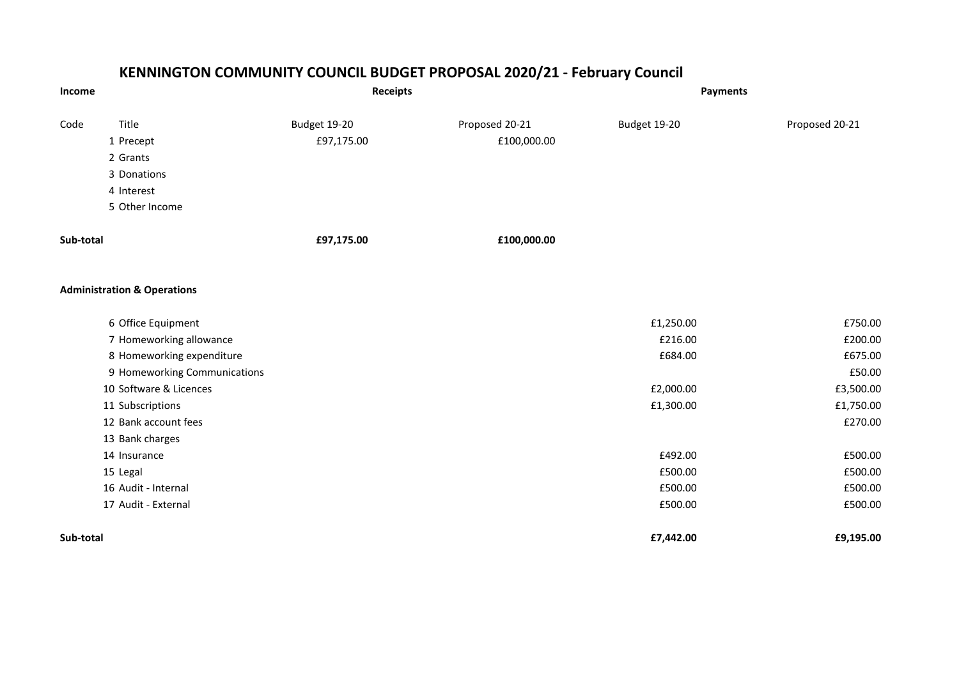## **KENNINGTON COMMUNITY COUNCIL BUDGET PROPOSAL 2020/21 - February Council**

| Income    |                                        | <b>Receipts</b> |                | <b>Payments</b> |                |
|-----------|----------------------------------------|-----------------|----------------|-----------------|----------------|
| Code      | Title                                  | Budget 19-20    | Proposed 20-21 | Budget 19-20    | Proposed 20-21 |
|           | 1 Precept                              | £97,175.00      | £100,000.00    |                 |                |
|           | 2 Grants                               |                 |                |                 |                |
|           | 3 Donations                            |                 |                |                 |                |
|           | 4 Interest                             |                 |                |                 |                |
|           | 5 Other Income                         |                 |                |                 |                |
| Sub-total |                                        | £97,175.00      | £100,000.00    |                 |                |
|           | <b>Administration &amp; Operations</b> |                 |                |                 |                |
|           | 6 Office Equipment                     |                 |                | £1,250.00       | £750.00        |
|           | 7 Homeworking allowance                |                 |                | £216.00         | £200.00        |
|           | 8 Homeworking expenditure              |                 |                | £684.00         | £675.00        |
|           | 9 Homeworking Communications           |                 |                |                 | £50.00         |
|           | 10 Software & Licences                 |                 |                | £2,000.00       | £3,500.00      |
|           | 11 Subscriptions                       |                 |                | £1,300.00       | £1,750.00      |
|           | 12 Bank account fees                   |                 |                |                 | £270.00        |
|           | 13 Bank charges                        |                 |                |                 |                |
|           | 14 Insurance                           |                 |                | £492.00         | £500.00        |
|           | 15 Legal                               |                 |                | £500.00         | £500.00        |
|           | 16 Audit - Internal                    |                 |                | £500.00         | £500.00        |
|           | 17 Audit - External                    |                 |                | £500.00         | £500.00        |
| Sub-total |                                        |                 |                | £7,442.00       | £9,195.00      |